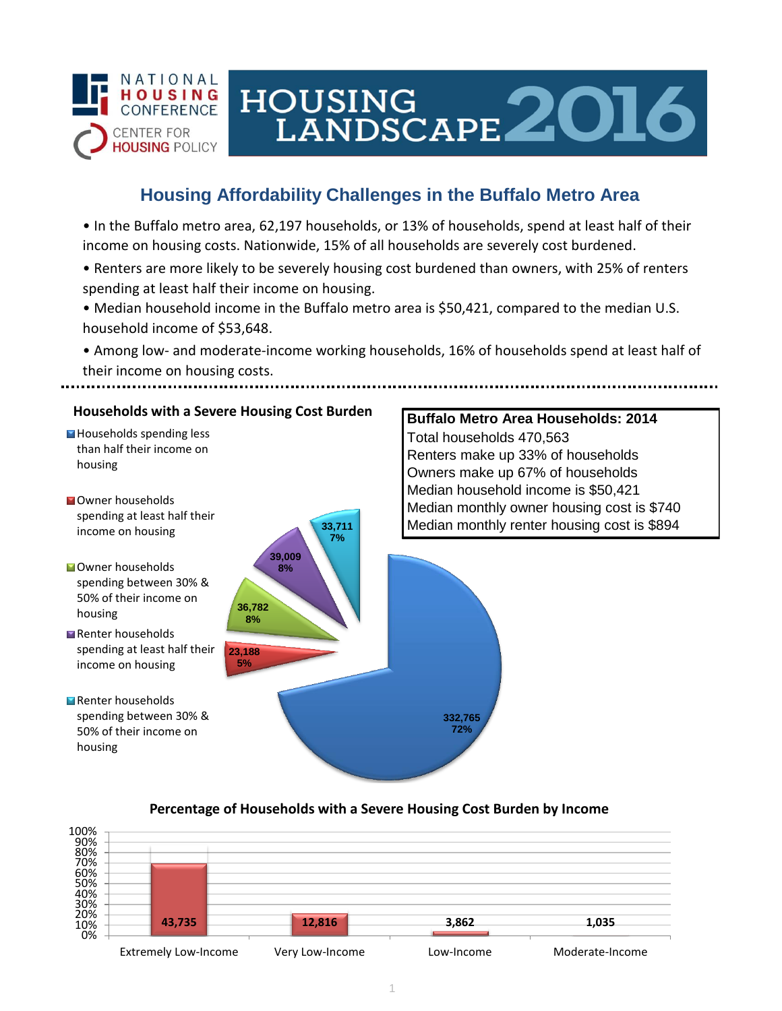

# HOUSING LANDSCAPE 2016

# **Housing Affordability Challenges in the Buffalo Metro Area**

• In the Buffalo metro area, 62,197 households, or 13% of households, spend at least half of their income on housing costs. Nationwide, 15% of all households are severely cost burdened.

- Renters are more likely to be severely housing cost burdened than owners, with 25% of renters spending at least half their income on housing.
- Median household income in the Buffalo metro area is \$50,421, compared to the median U.S. household income of \$53,648.
- Among low- and moderate-income working households, 16% of households spend at least half of their income on housing costs.



## **Percentage of Households with a Severe Housing Cost Burden by Income**